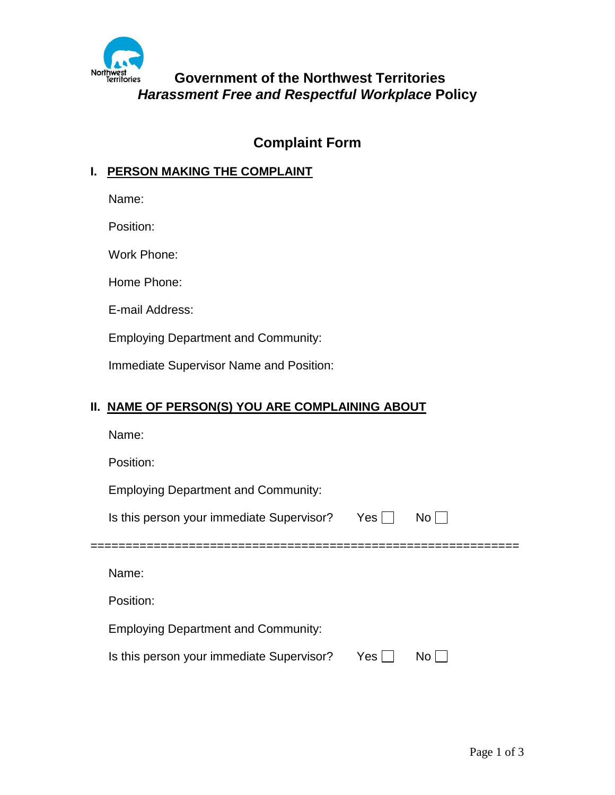

# **Government of the Northwest Territories** *Harassment Free and Respectful Workplace* **Policy**

# **Complaint Form**

### **I. PERSON MAKING THE COMPLAINT**

Name:

Position:

Work Phone:

Home Phone:

E-mail Address:

Employing Department and Community:

Immediate Supervisor Name and Position:

### **II. NAME OF PERSON(S) YOU ARE COMPLAINING ABOUT**

| Name:                                      |       |      |
|--------------------------------------------|-------|------|
| Position:                                  |       |      |
| <b>Employing Department and Community:</b> |       |      |
| Is this person your immediate Supervisor?  | Yes   | No l |
|                                            |       |      |
|                                            |       |      |
| Name:                                      |       |      |
| Position:                                  |       |      |
| <b>Employing Department and Community:</b> |       |      |
| Is this person your immediate Supervisor?  | Yes I | No.  |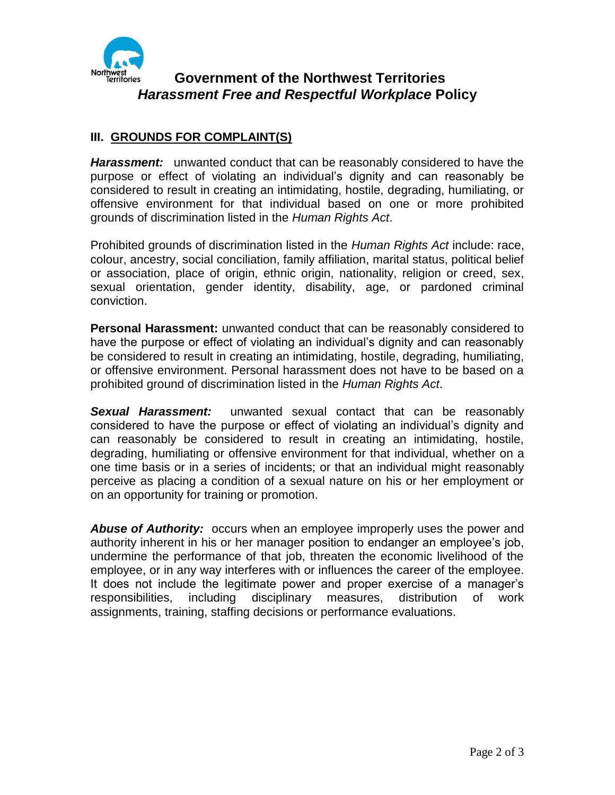

## **Government of the Northwest Territories** *Harassment Free and Respectful Workplace* **Policy**

### **III. GROUNDS FOR COMPLAINT(S)**

*Harassment:* unwanted conduct that can be reasonably considered to have the purpose or effect of violating an individual's dignity and can reasonably be considered to result in creating an intimidating, hostile, degrading, humiliating, or offensive environment for that individual based on one or more prohibited grounds of discrimination listed in the *Human Rights Act*.

Prohibited grounds of discrimination listed in the *Human Rights Act* include: race, colour, ancestry, social conciliation, family affiliation, marital status, political belief or association, place of origin, ethnic origin, nationality, religion or creed, sex, sexual orientation, gender identity, disability, age, or pardoned criminal conviction.

**Personal Harassment:** unwanted conduct that can be reasonably considered to have the purpose or effect of violating an individual's dignity and can reasonably be considered to result in creating an intimidating, hostile, degrading, humiliating, or offensive environment. Personal harassment does not have to be based on a prohibited ground of discrimination listed in the *Human Rights Act*.

*Sexual Harassment:* unwanted sexual contact that can be reasonably considered to have the purpose or effect of violating an individual's dignity and can reasonably be considered to result in creating an intimidating, hostile, degrading, humiliating or offensive environment for that individual, whether on a one time basis or in a series of incidents; or that an individual might reasonably perceive as placing a condition of a sexual nature on his or her employment or on an opportunity for training or promotion.

*Abuse of Authority:* occurs when an employee improperly uses the power and authority inherent in his or her manager position to endanger an employee's job, undermine the performance of that job, threaten the economic livelihood of the employee, or in any way interferes with or influences the career of the employee. It does not include the legitimate power and proper exercise of a manager's responsibilities, including disciplinary measures, distribution of work assignments, training, staffing decisions or performance evaluations.